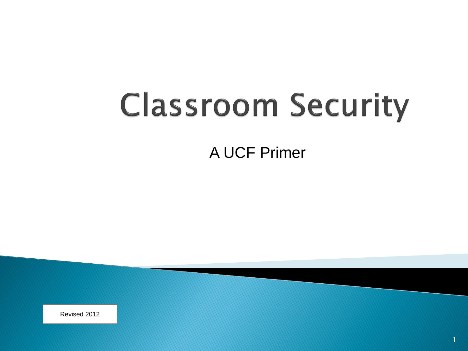# **Classroom Security**

A UCF Primer

Revised 2012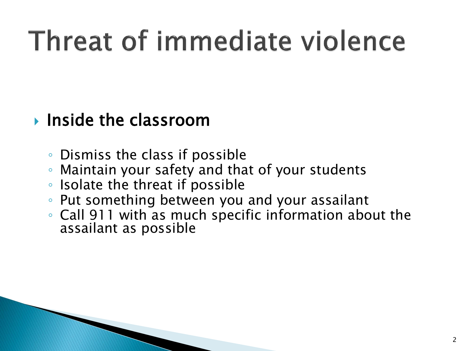# Threat of immediate violence

#### Inside the classroom

- Dismiss the class if possible
- Maintain your safety and that of your students
- Isolate the threat if possible
- Put something between you and your assailant
- Call 911 with as much specific information about the assailant as possible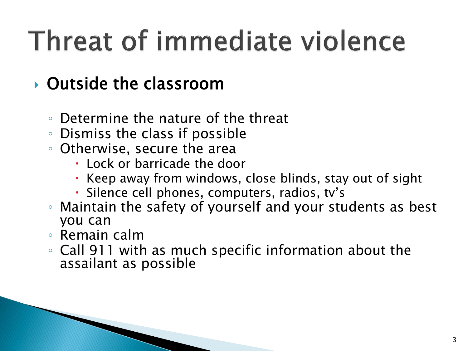# Threat of immediate violence

#### Outside the classroom

- Determine the nature of the threat
- Dismiss the class if possible
- Otherwise, secure the area
	- Lock or barricade the door
	- Keep away from windows, close blinds, stay out of sight
	- Silence cell phones, computers, radios, tv's
- Maintain the safety of yourself and your students as best you can
- Remain calm
- Call 911 with as much specific information about the assailant as possible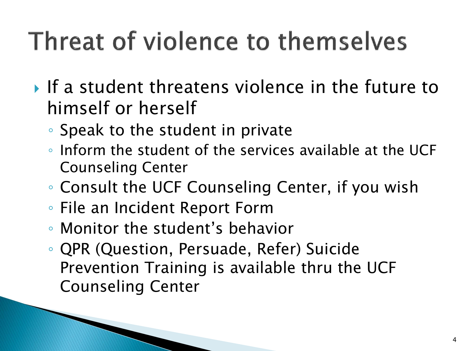### Threat of violence to themselves

- If a student threatens violence in the future to himself or herself
	- Speak to the student in private
	- Inform the student of the services available at the UCF Counseling Center
	- Consult the UCF Counseling Center, if you wish
	- File an Incident Report Form
	- Monitor the student's behavior
	- QPR (Question, Persuade, Refer) Suicide Prevention Training is available thru the UCF Counseling Center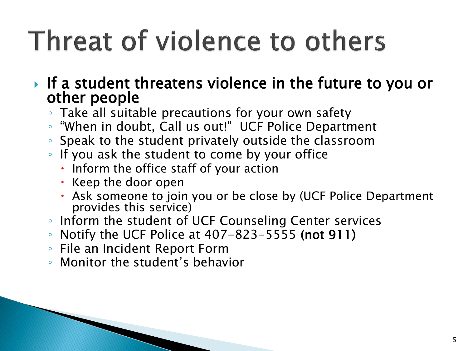## Threat of violence to others

- If a student threatens violence in the future to you or other people
	- Take all suitable precautions for your own safety
	- "When in doubt, Call us out!" UCF Police Department
	- Speak to the student privately outside the classroom
	- If you ask the student to come by your office
		- Inform the office staff of your action
		- Keep the door open
		- Ask someone to join you or be close by (UCF Police Department provides this service)
	- Inform the student of UCF Counseling Center services
	- Notify the UCF Police at 407-823-5555 (not 911)
	- File an Incident Report Form
	- Monitor the student's behavior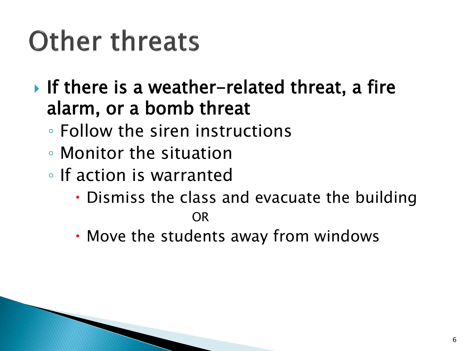## **Other threats**

- If there is a weather-related threat, a fire alarm, or a bomb threat
	- Follow the siren instructions
	- Monitor the situation
	- If action is warranted
		- Dismiss the class and evacuate the building OR
		- Move the students away from windows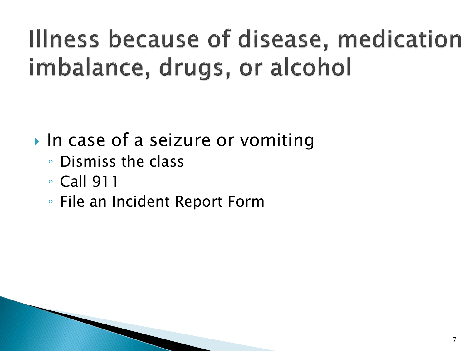Illness because of disease, medication imbalance, drugs, or alcohol

- $\blacktriangleright$  In case of a seizure or vomiting
	- Dismiss the class
	- Call 911
	- File an Incident Report Form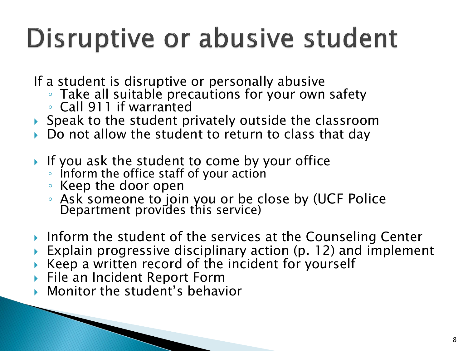## Disruptive or abusive student

If a student is disruptive or personally abusive

- Take all suitable precautions for your own safety
- Call 911 if warranted
- $\triangleright$  Speak to the student privately outside the classroom
- Do not allow the student to return to class that day
- If you ask the student to come by your office
	- Inform the office staff of your action
	- Keep the door open
	- Ask someone to join you or be close by (UCF Police Department provides this service)
- Inform the student of the services at the Counseling Center
- ▶ Explain progressive disciplinary action (p. 12) and implement
- $\triangleright$  Keep a written record of the incident for yourself
- ▶ File an Incident Report Form

The Company of the Company of

Monitor the student's behavior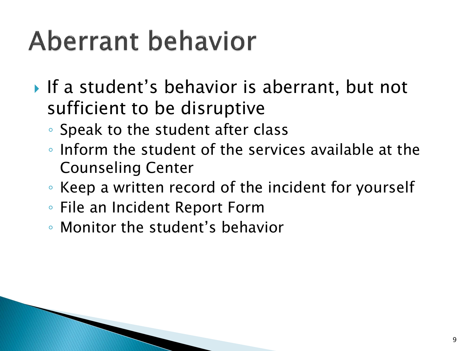## Aberrant behavior

- If a student's behavior is aberrant, but not sufficient to be disruptive
	- Speak to the student after class
	- Inform the student of the services available at the Counseling Center
	- Keep a written record of the incident for yourself
	- File an Incident Report Form
	- Monitor the student's behavior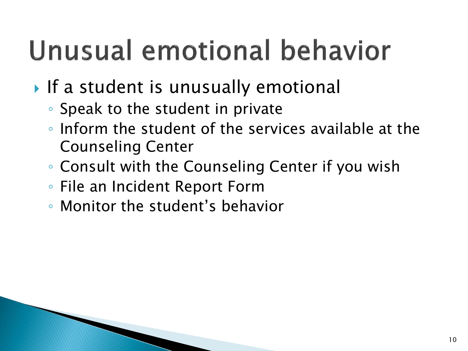## Unusual emotional behavior

- If a student is unusually emotional
	- Speak to the student in private
	- Inform the student of the services available at the Counseling Center
	- Consult with the Counseling Center if you wish
	- File an Incident Report Form
	- Monitor the student's behavior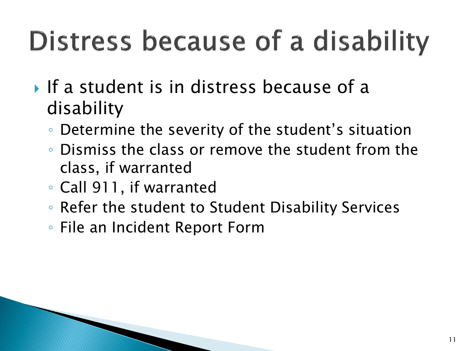# Distress because of a disability

- If a student is in distress because of a disability
	- Determine the severity of the student's situation
	- Dismiss the class or remove the student from the class, if warranted
	- Call 911, if warranted
	- Refer the student to Student Disability Services
	- File an Incident Report Form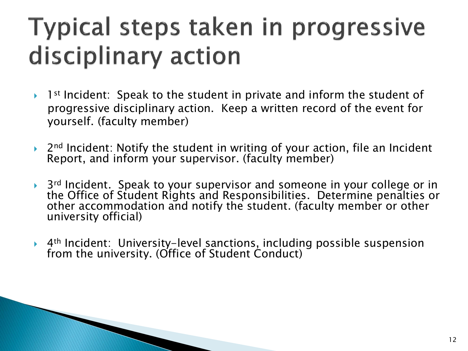#### Typical steps taken in progressive disciplinary action

- $\blacktriangleright$  1<sup>st</sup> Incident: Speak to the student in private and inform the student of progressive disciplinary action. Keep a written record of the event for yourself. (faculty member)
- $\rightarrow$  2<sup>nd</sup> Incident: Notify the student in writing of your action, file an Incident Report, and inform your supervisor. (faculty member)
- ▶ 3<sup>rd</sup> Incident. Speak to your supervisor and someone in your college or in the Office of Student Rights and Responsibilities. Determine penalties or other accommodation and notify the student. (faculty member or other university official)
- ▶ 4<sup>th</sup> Incident: University-level sanctions, including possible suspension from the university. (Office of Student Conduct)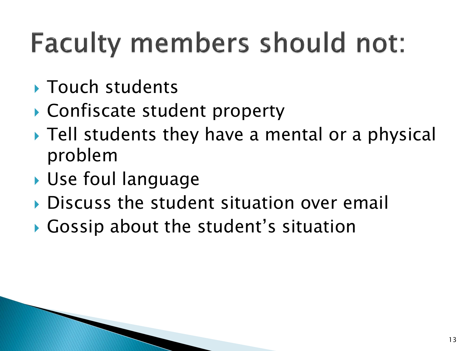## **Faculty members should not:**

- **Touch students**
- Confiscate student property
- ▶ Tell students they have a mental or a physical problem
- ▶ Use foul language
- Discuss the student situation over email
- Gossip about the student's situation